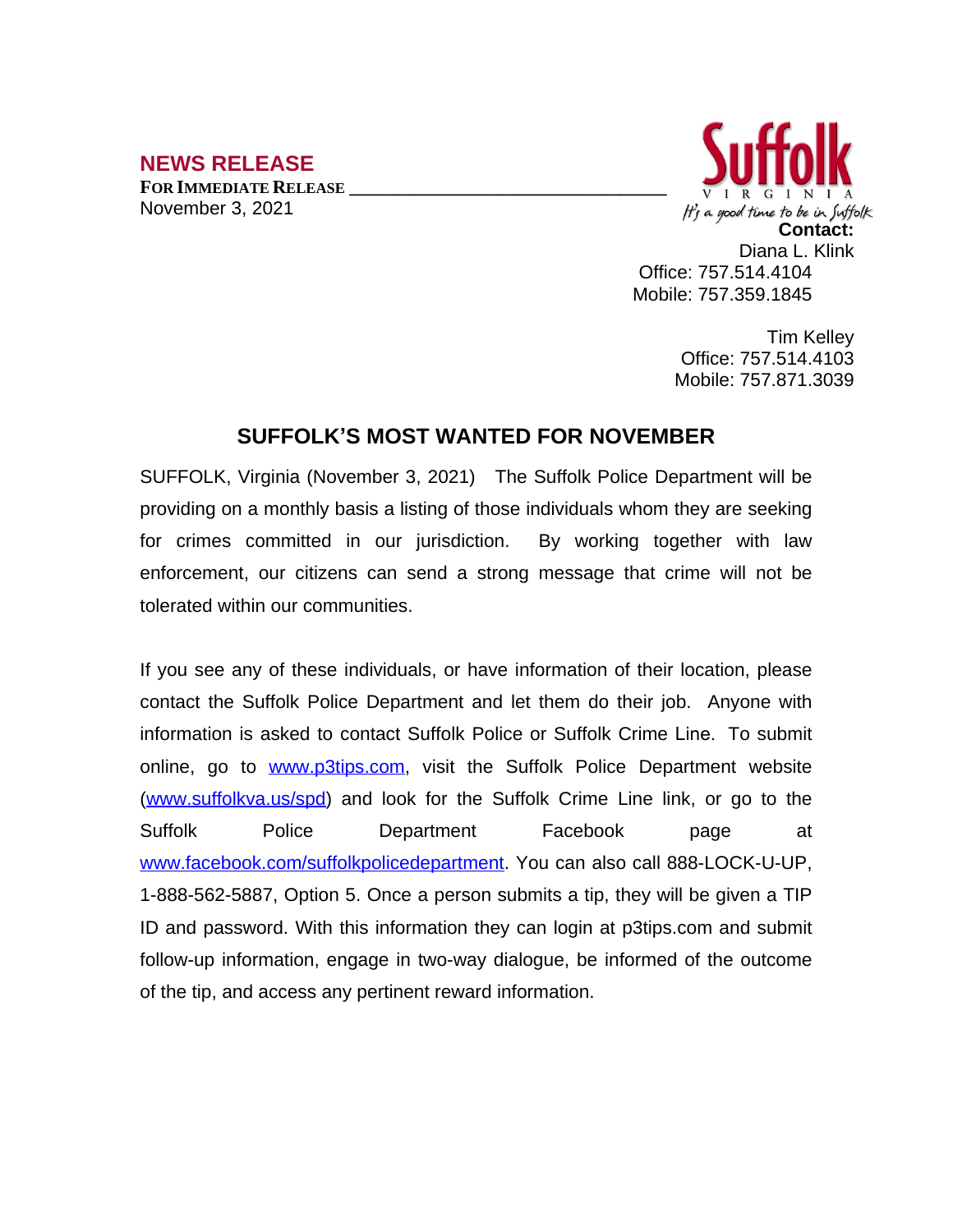## **NEWS RELEASE**

**FOR IMMEDIATE RELEASE \_\_\_\_\_\_\_\_\_\_\_\_\_\_\_\_\_\_\_\_\_\_\_\_\_\_\_\_\_\_\_\_\_\_** November 3, 2021



Tim Kelley Office: 757.514.4103 Mobile: 757.871.3039

## **SUFFOLK'S MOST WANTED FOR NOVEMBER**

SUFFOLK, Virginia (November 3, 2021) The Suffolk Police Department will be providing on a monthly basis a listing of those individuals whom they are seeking for crimes committed in our jurisdiction. By working together with law enforcement, our citizens can send a strong message that crime will not be tolerated within our communities.

If you see any of these individuals, or have information of their location, please contact the Suffolk Police Department and let them do their job. Anyone with information is asked to contact Suffolk Police or Suffolk Crime Line. To submit online, go to [www.p3tips.com](http://www.p3tips.com), visit the Suffolk Police Department website ([www.suffolkva.us/spd](http://www.suffolkva.us/spd)) and look for the Suffolk Crime Line link, or go to the Suffolk Police Department Facebook page at [www.facebook.com/suffolkpolicedepartment](http://www.facebook.com/suffolkpolicedepartment). You can also call 888-LOCK-U-UP, 1-888-562-5887, Option 5. Once a person submits a tip, they will be given a TIP ID and password. With this information they can login at p3tips.com and submit follow-up information, engage in two-way dialogue, be informed of the outcome of the tip, and access any pertinent reward information.